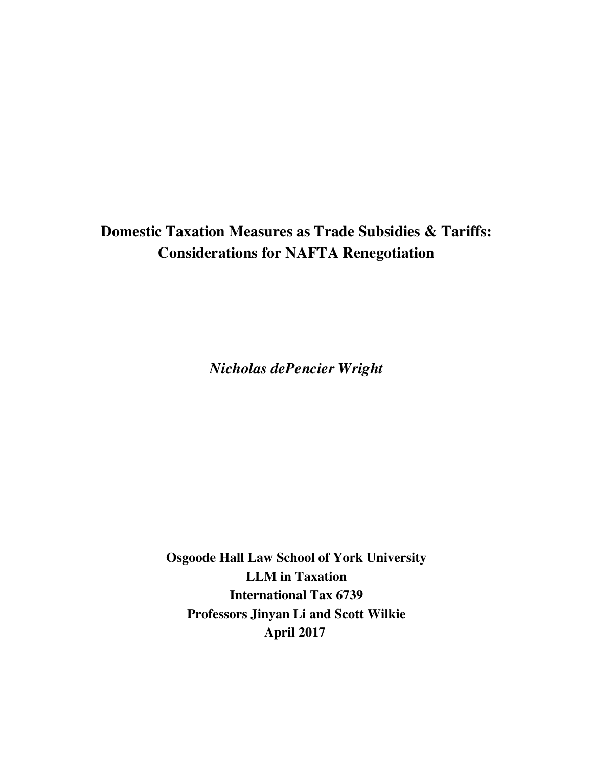# **Domestic Taxation Measures as Trade Subsidies & Tariffs: Considerations for NAFTA Renegotiation**

*Nicholas dePencier Wright*

**Osgoode Hall Law School of York University LLM in Taxation International Tax 6739 Professors Jinyan Li and Scott Wilkie April 2017**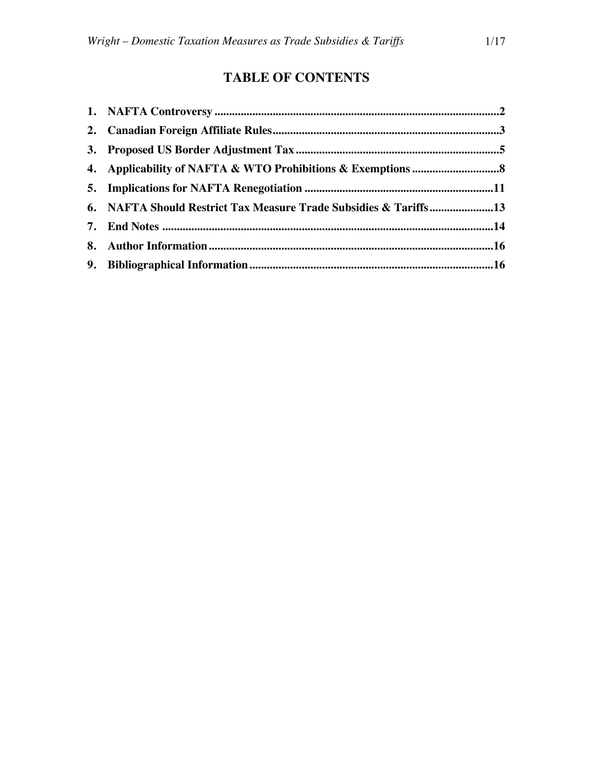# **TABLE OF CONTENTS**

| 6. NAFTA Should Restrict Tax Measure Trade Subsidies & Tariffs13 |  |
|------------------------------------------------------------------|--|
|                                                                  |  |
|                                                                  |  |
|                                                                  |  |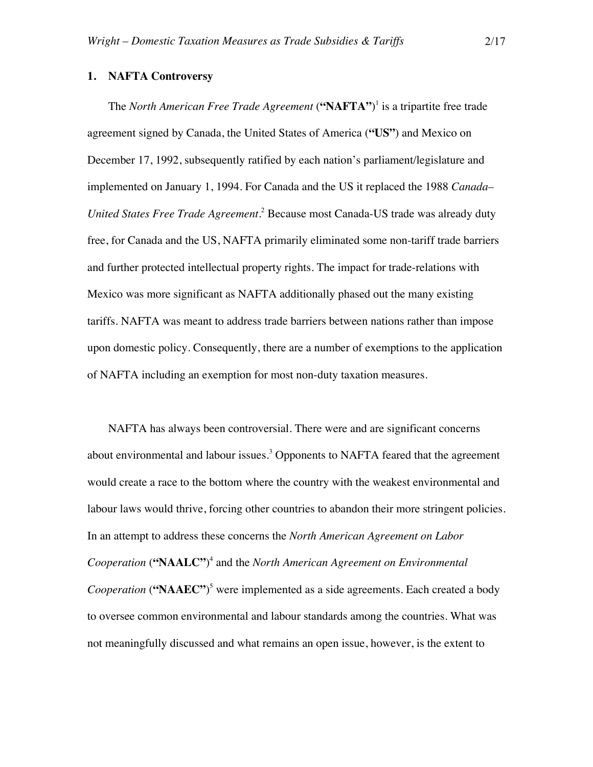### **1. NAFTA Controversy**

The *North American Free Trade Agreement* (**"NAFTA"**) <sup>1</sup> is a tripartite free trade agreement signed by Canada, the United States of America (**"US"**) and Mexico on December 17, 1992, subsequently ratified by each nation's parliament/legislature and implemented on January 1, 1994. For Canada and the US it replaced the 1988 *Canada– United States Free Trade Agreement*. <sup>2</sup> Because most Canada-US trade was already duty free, for Canada and the US, NAFTA primarily eliminated some non-tariff trade barriers and further protected intellectual property rights. The impact for trade-relations with Mexico was more significant as NAFTA additionally phased out the many existing tariffs. NAFTA was meant to address trade barriers between nations rather than impose upon domestic policy. Consequently, there are a number of exemptions to the application of NAFTA including an exemption for most non-duty taxation measures.

NAFTA has always been controversial. There were and are significant concerns about environmental and labour issues.<sup>3</sup> Opponents to NAFTA feared that the agreement would create a race to the bottom where the country with the weakest environmental and labour laws would thrive, forcing other countries to abandon their more stringent policies. In an attempt to address these concerns the *North American Agreement on Labor Cooperation* (**"NAALC"**) <sup>4</sup> and the *North American Agreement on Environmental Cooperation* (**"NAAEC"**) <sup>5</sup> were implemented as a side agreements. Each created a body to oversee common environmental and labour standards among the countries. What was not meaningfully discussed and what remains an open issue, however, is the extent to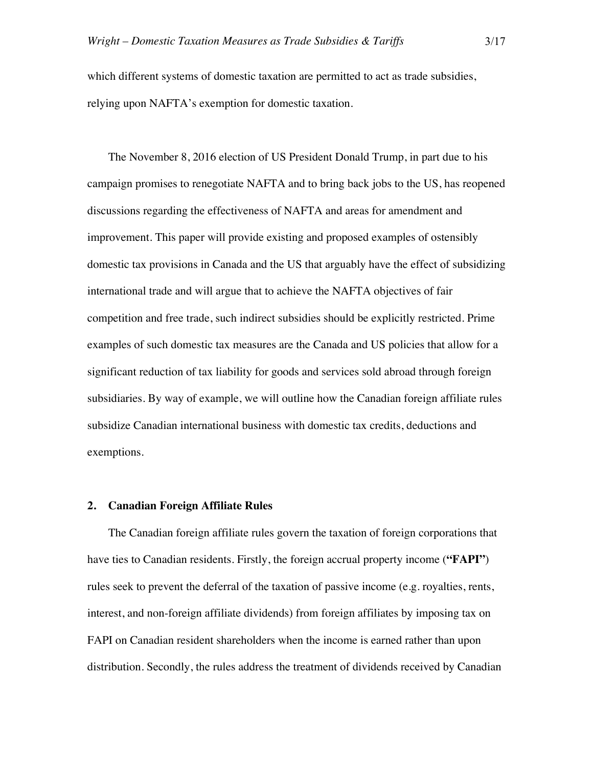which different systems of domestic taxation are permitted to act as trade subsidies, relying upon NAFTA's exemption for domestic taxation.

The November 8, 2016 election of US President Donald Trump, in part due to his campaign promises to renegotiate NAFTA and to bring back jobs to the US, has reopened discussions regarding the effectiveness of NAFTA and areas for amendment and improvement. This paper will provide existing and proposed examples of ostensibly domestic tax provisions in Canada and the US that arguably have the effect of subsidizing international trade and will argue that to achieve the NAFTA objectives of fair competition and free trade, such indirect subsidies should be explicitly restricted. Prime examples of such domestic tax measures are the Canada and US policies that allow for a significant reduction of tax liability for goods and services sold abroad through foreign subsidiaries. By way of example, we will outline how the Canadian foreign affiliate rules subsidize Canadian international business with domestic tax credits, deductions and exemptions.

## **2. Canadian Foreign Affiliate Rules**

The Canadian foreign affiliate rules govern the taxation of foreign corporations that have ties to Canadian residents. Firstly, the foreign accrual property income (**"FAPI"**) rules seek to prevent the deferral of the taxation of passive income (e.g. royalties, rents, interest, and non-foreign affiliate dividends) from foreign affiliates by imposing tax on FAPI on Canadian resident shareholders when the income is earned rather than upon distribution. Secondly, the rules address the treatment of dividends received by Canadian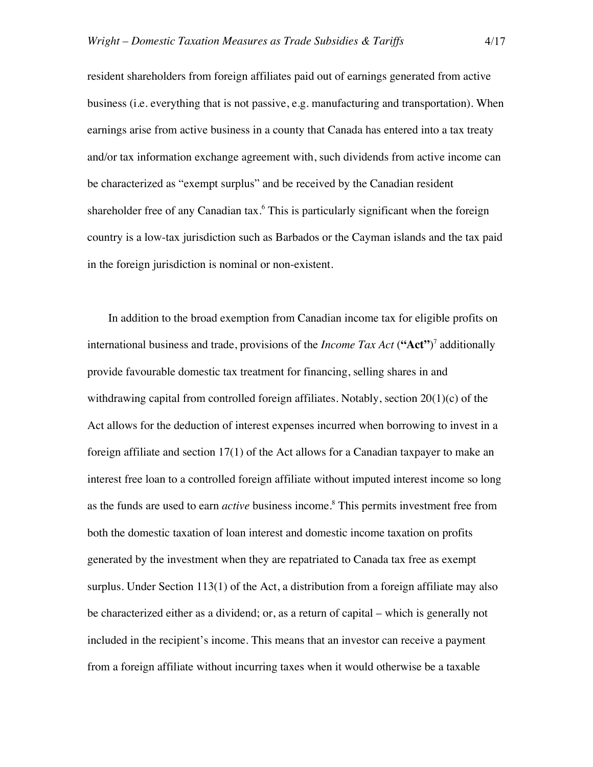resident shareholders from foreign affiliates paid out of earnings generated from active business (i.e. everything that is not passive, e.g. manufacturing and transportation). When earnings arise from active business in a county that Canada has entered into a tax treaty and/or tax information exchange agreement with, such dividends from active income can be characterized as "exempt surplus" and be received by the Canadian resident shareholder free of any Canadian tax.<sup>6</sup> This is particularly significant when the foreign country is a low-tax jurisdiction such as Barbados or the Cayman islands and the tax paid in the foreign jurisdiction is nominal or non-existent.

In addition to the broad exemption from Canadian income tax for eligible profits on international business and trade, provisions of the *Income Tax Act* (**"Act"**) <sup>7</sup> additionally provide favourable domestic tax treatment for financing, selling shares in and withdrawing capital from controlled foreign affiliates. Notably, section 20(1)(c) of the Act allows for the deduction of interest expenses incurred when borrowing to invest in a foreign affiliate and section 17(1) of the Act allows for a Canadian taxpayer to make an interest free loan to a controlled foreign affiliate without imputed interest income so long as the funds are used to earn *active* business income.<sup>8</sup> This permits investment free from both the domestic taxation of loan interest and domestic income taxation on profits generated by the investment when they are repatriated to Canada tax free as exempt surplus. Under Section 113(1) of the Act, a distribution from a foreign affiliate may also be characterized either as a dividend; or, as a return of capital – which is generally not included in the recipient's income. This means that an investor can receive a payment from a foreign affiliate without incurring taxes when it would otherwise be a taxable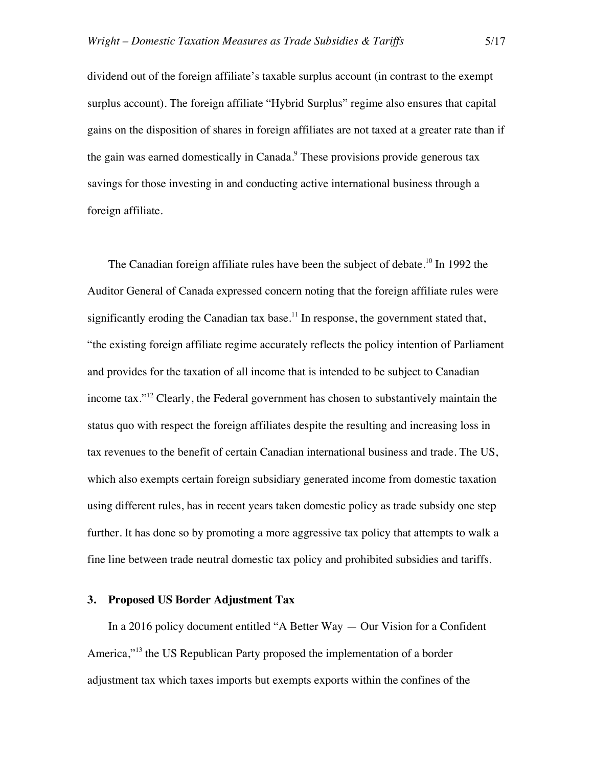dividend out of the foreign affiliate's taxable surplus account (in contrast to the exempt surplus account). The foreign affiliate "Hybrid Surplus" regime also ensures that capital gains on the disposition of shares in foreign affiliates are not taxed at a greater rate than if the gain was earned domestically in Canada. <sup>9</sup> These provisions provide generous tax savings for those investing in and conducting active international business through a foreign affiliate.

The Canadian foreign affiliate rules have been the subject of debate.<sup>10</sup> In 1992 the Auditor General of Canada expressed concern noting that the foreign affiliate rules were significantly eroding the Canadian tax base.<sup>11</sup> In response, the government stated that, "the existing foreign affiliate regime accurately reflects the policy intention of Parliament and provides for the taxation of all income that is intended to be subject to Canadian income tax."12 Clearly, the Federal government has chosen to substantively maintain the status quo with respect the foreign affiliates despite the resulting and increasing loss in tax revenues to the benefit of certain Canadian international business and trade. The US, which also exempts certain foreign subsidiary generated income from domestic taxation using different rules, has in recent years taken domestic policy as trade subsidy one step further. It has done so by promoting a more aggressive tax policy that attempts to walk a fine line between trade neutral domestic tax policy and prohibited subsidies and tariffs.

## **3. Proposed US Border Adjustment Tax**

In a 2016 policy document entitled "A Better Way — Our Vision for a Confident America,"<sup>13</sup> the US Republican Party proposed the implementation of a border adjustment tax which taxes imports but exempts exports within the confines of the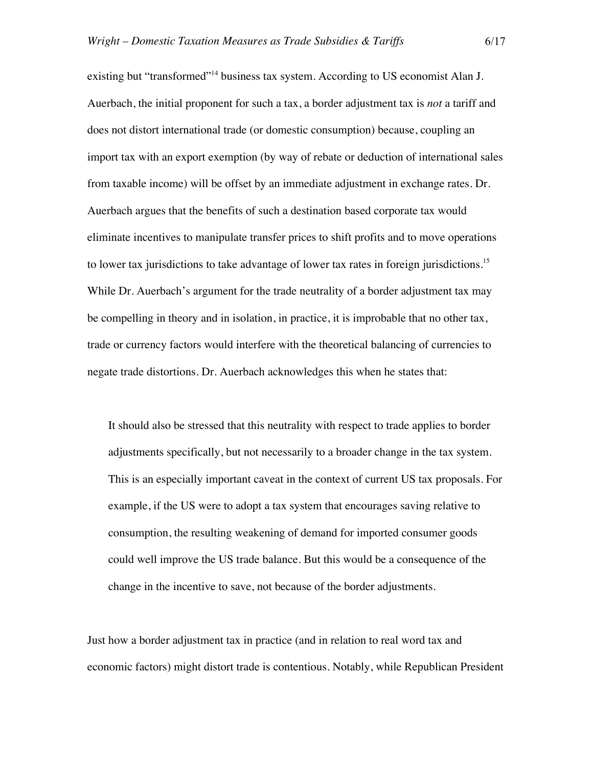existing but "transformed"<sup>14</sup> business tax system. According to US economist Alan J. Auerbach, the initial proponent for such a tax, a border adjustment tax is *not* a tariff and does not distort international trade (or domestic consumption) because, coupling an import tax with an export exemption (by way of rebate or deduction of international sales from taxable income) will be offset by an immediate adjustment in exchange rates. Dr. Auerbach argues that the benefits of such a destination based corporate tax would eliminate incentives to manipulate transfer prices to shift profits and to move operations to lower tax jurisdictions to take advantage of lower tax rates in foreign jurisdictions.<sup>15</sup> While Dr. Auerbach's argument for the trade neutrality of a border adjustment tax may be compelling in theory and in isolation, in practice, it is improbable that no other tax, trade or currency factors would interfere with the theoretical balancing of currencies to negate trade distortions. Dr. Auerbach acknowledges this when he states that:

It should also be stressed that this neutrality with respect to trade applies to border adjustments specifically, but not necessarily to a broader change in the tax system. This is an especially important caveat in the context of current US tax proposals. For example, if the US were to adopt a tax system that encourages saving relative to consumption, the resulting weakening of demand for imported consumer goods could well improve the US trade balance. But this would be a consequence of the change in the incentive to save, not because of the border adjustments.

Just how a border adjustment tax in practice (and in relation to real word tax and economic factors) might distort trade is contentious. Notably, while Republican President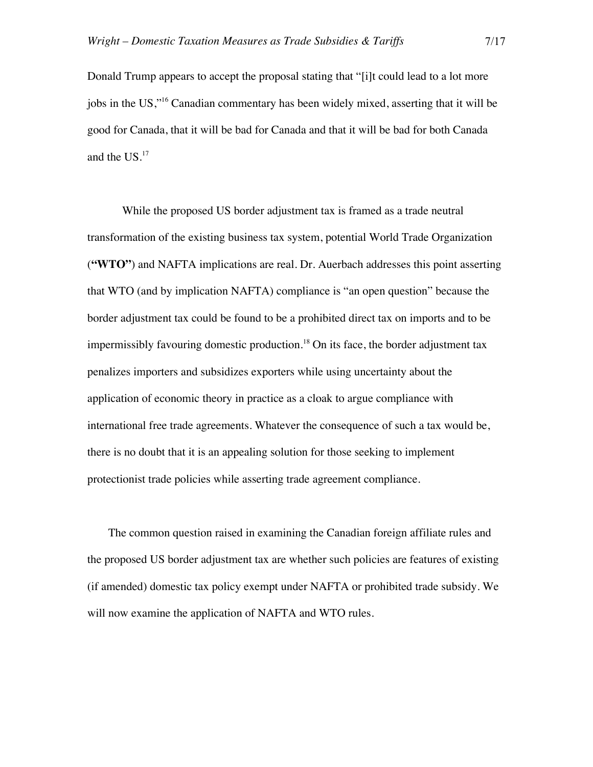Donald Trump appears to accept the proposal stating that "[i]t could lead to a lot more jobs in the US,"16 Canadian commentary has been widely mixed, asserting that it will be good for Canada, that it will be bad for Canada and that it will be bad for both Canada and the US. 17

While the proposed US border adjustment tax is framed as a trade neutral transformation of the existing business tax system, potential World Trade Organization (**"WTO"**) and NAFTA implications are real. Dr. Auerbach addresses this point asserting that WTO (and by implication NAFTA) compliance is "an open question" because the border adjustment tax could be found to be a prohibited direct tax on imports and to be impermissibly favouring domestic production.<sup>18</sup> On its face, the border adjustment tax penalizes importers and subsidizes exporters while using uncertainty about the application of economic theory in practice as a cloak to argue compliance with international free trade agreements. Whatever the consequence of such a tax would be, there is no doubt that it is an appealing solution for those seeking to implement protectionist trade policies while asserting trade agreement compliance.

The common question raised in examining the Canadian foreign affiliate rules and the proposed US border adjustment tax are whether such policies are features of existing (if amended) domestic tax policy exempt under NAFTA or prohibited trade subsidy. We will now examine the application of NAFTA and WTO rules.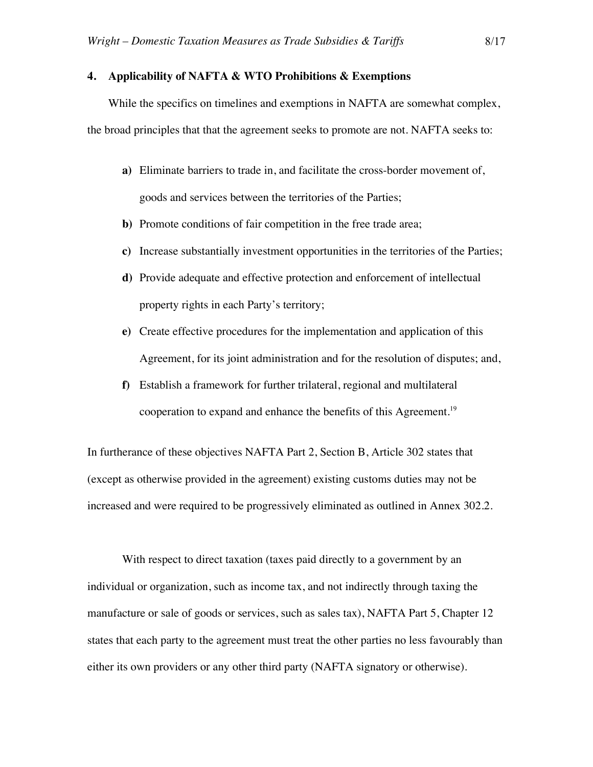## **4. Applicability of NAFTA & WTO Prohibitions & Exemptions**

While the specifics on timelines and exemptions in NAFTA are somewhat complex, the broad principles that that the agreement seeks to promote are not. NAFTA seeks to:

- **a)** Eliminate barriers to trade in, and facilitate the cross-border movement of, goods and services between the territories of the Parties;
- **b)** Promote conditions of fair competition in the free trade area;
- **c)** Increase substantially investment opportunities in the territories of the Parties;
- **d)** Provide adequate and effective protection and enforcement of intellectual property rights in each Party's territory;
- **e)** Create effective procedures for the implementation and application of this Agreement, for its joint administration and for the resolution of disputes; and,
- **f)** Establish a framework for further trilateral, regional and multilateral cooperation to expand and enhance the benefits of this Agreement.19

In furtherance of these objectives NAFTA Part 2, Section B, Article 302 states that (except as otherwise provided in the agreement) existing customs duties may not be increased and were required to be progressively eliminated as outlined in Annex 302.2.

With respect to direct taxation (taxes paid directly to a government by an individual or organization, such as income tax, and not indirectly through taxing the manufacture or sale of goods or services, such as sales tax), NAFTA Part 5, Chapter 12 states that each party to the agreement must treat the other parties no less favourably than either its own providers or any other third party (NAFTA signatory or otherwise).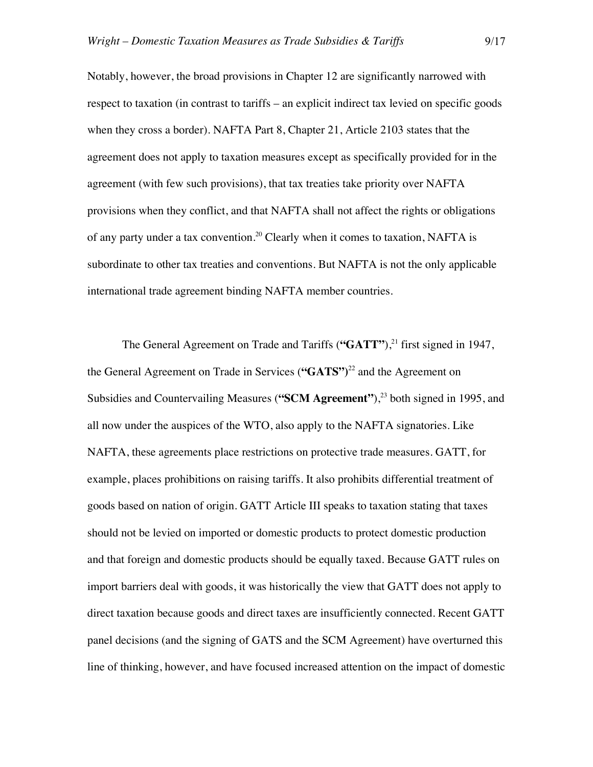Notably, however, the broad provisions in Chapter 12 are significantly narrowed with respect to taxation (in contrast to tariffs – an explicit indirect tax levied on specific goods when they cross a border). NAFTA Part 8, Chapter 21, Article 2103 states that the agreement does not apply to taxation measures except as specifically provided for in the agreement (with few such provisions), that tax treaties take priority over NAFTA provisions when they conflict, and that NAFTA shall not affect the rights or obligations of any party under a tax convention.<sup>20</sup> Clearly when it comes to taxation, NAFTA is subordinate to other tax treaties and conventions. But NAFTA is not the only applicable international trade agreement binding NAFTA member countries.

The General Agreement on Trade and Tariffs (**"GATT"**), <sup>21</sup> first signed in 1947, the General Agreement on Trade in Services (**"GATS")** <sup>22</sup> and the Agreement on Subsidies and Countervailing Measures (**"SCM Agreement"**), <sup>23</sup> both signed in 1995, and all now under the auspices of the WTO, also apply to the NAFTA signatories. Like NAFTA, these agreements place restrictions on protective trade measures. GATT, for example, places prohibitions on raising tariffs. It also prohibits differential treatment of goods based on nation of origin. GATT Article III speaks to taxation stating that taxes should not be levied on imported or domestic products to protect domestic production and that foreign and domestic products should be equally taxed. Because GATT rules on import barriers deal with goods, it was historically the view that GATT does not apply to direct taxation because goods and direct taxes are insufficiently connected. Recent GATT panel decisions (and the signing of GATS and the SCM Agreement) have overturned this line of thinking, however, and have focused increased attention on the impact of domestic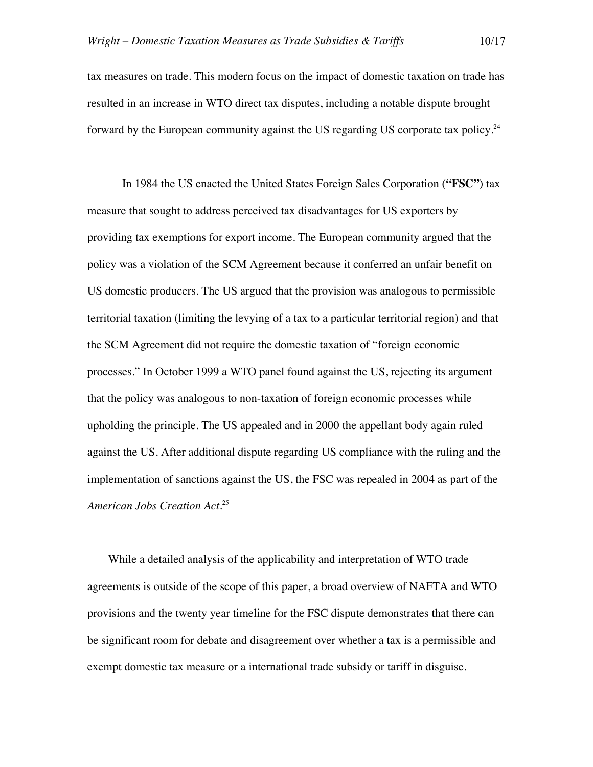tax measures on trade. This modern focus on the impact of domestic taxation on trade has resulted in an increase in WTO direct tax disputes, including a notable dispute brought forward by the European community against the US regarding US corporate tax policy.<sup>24</sup>

In 1984 the US enacted the United States Foreign Sales Corporation (**"FSC"**) tax measure that sought to address perceived tax disadvantages for US exporters by providing tax exemptions for export income. The European community argued that the policy was a violation of the SCM Agreement because it conferred an unfair benefit on US domestic producers. The US argued that the provision was analogous to permissible territorial taxation (limiting the levying of a tax to a particular territorial region) and that the SCM Agreement did not require the domestic taxation of "foreign economic processes." In October 1999 a WTO panel found against the US, rejecting its argument that the policy was analogous to non-taxation of foreign economic processes while upholding the principle. The US appealed and in 2000 the appellant body again ruled against the US. After additional dispute regarding US compliance with the ruling and the implementation of sanctions against the US, the FSC was repealed in 2004 as part of the *American Jobs Creation Act*. 25

While a detailed analysis of the applicability and interpretation of WTO trade agreements is outside of the scope of this paper, a broad overview of NAFTA and WTO provisions and the twenty year timeline for the FSC dispute demonstrates that there can be significant room for debate and disagreement over whether a tax is a permissible and exempt domestic tax measure or a international trade subsidy or tariff in disguise.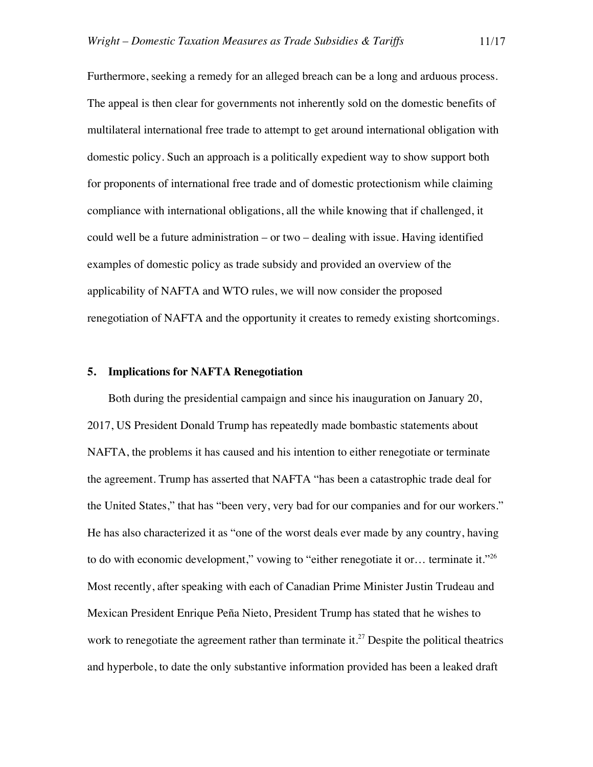Furthermore, seeking a remedy for an alleged breach can be a long and arduous process. The appeal is then clear for governments not inherently sold on the domestic benefits of multilateral international free trade to attempt to get around international obligation with domestic policy. Such an approach is a politically expedient way to show support both for proponents of international free trade and of domestic protectionism while claiming compliance with international obligations, all the while knowing that if challenged, it could well be a future administration – or two – dealing with issue. Having identified examples of domestic policy as trade subsidy and provided an overview of the applicability of NAFTA and WTO rules, we will now consider the proposed renegotiation of NAFTA and the opportunity it creates to remedy existing shortcomings.

#### **5. Implications for NAFTA Renegotiation**

Both during the presidential campaign and since his inauguration on January 20, 2017, US President Donald Trump has repeatedly made bombastic statements about NAFTA, the problems it has caused and his intention to either renegotiate or terminate the agreement. Trump has asserted that NAFTA "has been a catastrophic trade deal for the United States," that has "been very, very bad for our companies and for our workers." He has also characterized it as "one of the worst deals ever made by any country, having to do with economic development," vowing to "either renegotiate it or... terminate it."<sup>26</sup> Most recently, after speaking with each of Canadian Prime Minister Justin Trudeau and Mexican President Enrique Peña Nieto, President Trump has stated that he wishes to work to renegotiate the agreement rather than terminate it.<sup>27</sup> Despite the political theatrics and hyperbole, to date the only substantive information provided has been a leaked draft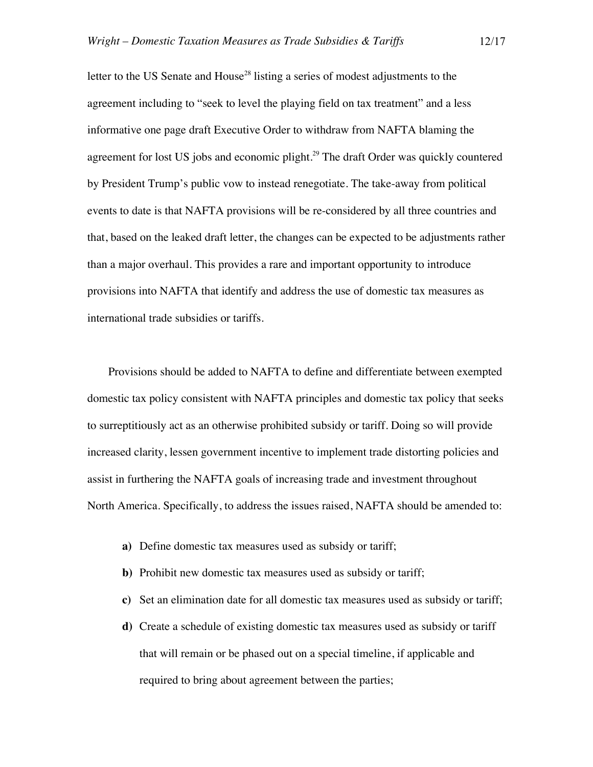letter to the US Senate and House<sup>28</sup> listing a series of modest adjustments to the agreement including to "seek to level the playing field on tax treatment" and a less informative one page draft Executive Order to withdraw from NAFTA blaming the agreement for lost US jobs and economic plight.<sup>29</sup> The draft Order was quickly countered by President Trump's public vow to instead renegotiate. The take-away from political events to date is that NAFTA provisions will be re-considered by all three countries and that, based on the leaked draft letter, the changes can be expected to be adjustments rather than a major overhaul. This provides a rare and important opportunity to introduce provisions into NAFTA that identify and address the use of domestic tax measures as international trade subsidies or tariffs.

Provisions should be added to NAFTA to define and differentiate between exempted domestic tax policy consistent with NAFTA principles and domestic tax policy that seeks to surreptitiously act as an otherwise prohibited subsidy or tariff. Doing so will provide increased clarity, lessen government incentive to implement trade distorting policies and assist in furthering the NAFTA goals of increasing trade and investment throughout North America. Specifically, to address the issues raised, NAFTA should be amended to:

- **a)** Define domestic tax measures used as subsidy or tariff;
- **b)** Prohibit new domestic tax measures used as subsidy or tariff;
- **c)** Set an elimination date for all domestic tax measures used as subsidy or tariff;
- **d)** Create a schedule of existing domestic tax measures used as subsidy or tariff that will remain or be phased out on a special timeline, if applicable and required to bring about agreement between the parties;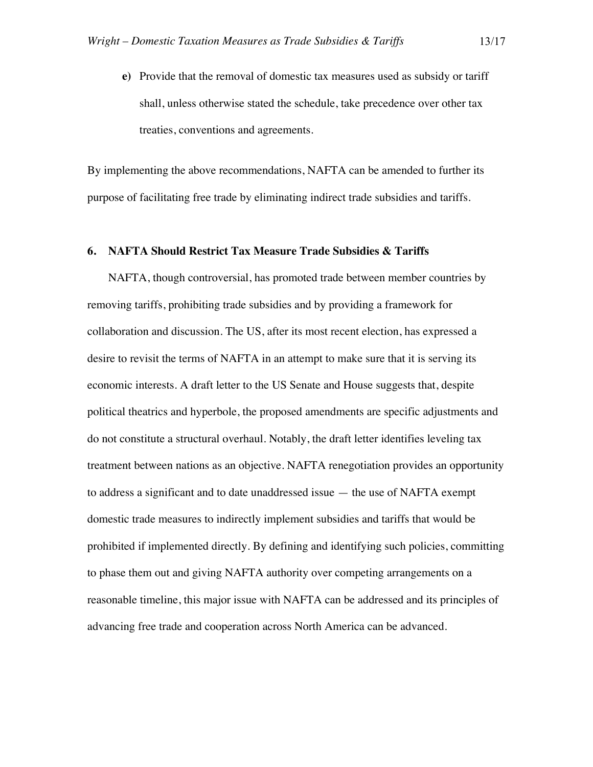**e)** Provide that the removal of domestic tax measures used as subsidy or tariff shall, unless otherwise stated the schedule, take precedence over other tax treaties, conventions and agreements.

By implementing the above recommendations, NAFTA can be amended to further its purpose of facilitating free trade by eliminating indirect trade subsidies and tariffs.

## **6. NAFTA Should Restrict Tax Measure Trade Subsidies & Tariffs**

NAFTA, though controversial, has promoted trade between member countries by removing tariffs, prohibiting trade subsidies and by providing a framework for collaboration and discussion. The US, after its most recent election, has expressed a desire to revisit the terms of NAFTA in an attempt to make sure that it is serving its economic interests. A draft letter to the US Senate and House suggests that, despite political theatrics and hyperbole, the proposed amendments are specific adjustments and do not constitute a structural overhaul. Notably, the draft letter identifies leveling tax treatment between nations as an objective. NAFTA renegotiation provides an opportunity to address a significant and to date unaddressed issue — the use of NAFTA exempt domestic trade measures to indirectly implement subsidies and tariffs that would be prohibited if implemented directly. By defining and identifying such policies, committing to phase them out and giving NAFTA authority over competing arrangements on a reasonable timeline, this major issue with NAFTA can be addressed and its principles of advancing free trade and cooperation across North America can be advanced.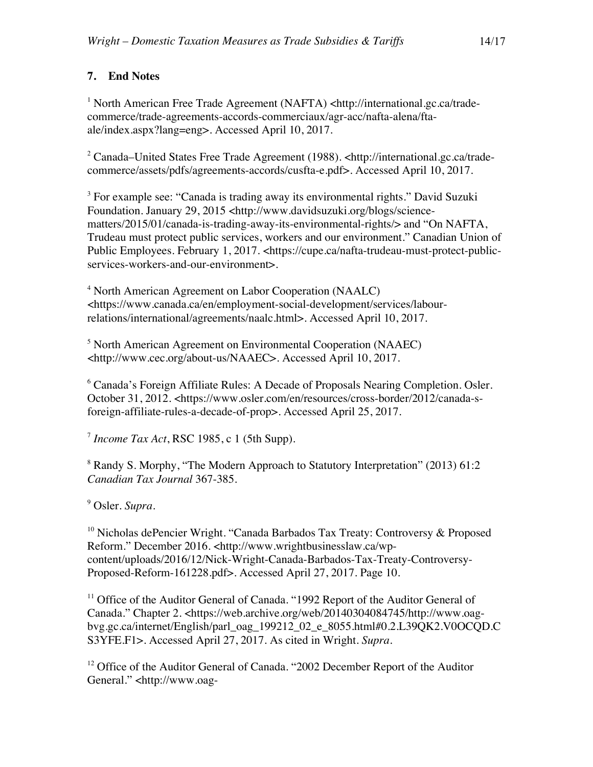# **7. End Notes**

<sup>1</sup> North American Free Trade Agreement (NAFTA) <http://international.gc.ca/tradecommerce/trade-agreements-accords-commerciaux/agr-acc/nafta-alena/ftaale/index.aspx?lang=eng>. Accessed April 10, 2017.

<sup>2</sup> Canada–United States Free Trade Agreement (1988). <http://international.gc.ca/tradecommerce/assets/pdfs/agreements-accords/cusfta-e.pdf>. Accessed April 10, 2017.

<sup>3</sup> For example see: "Canada is trading away its environmental rights." David Suzuki Foundation. January 29, 2015 <http://www.davidsuzuki.org/blogs/sciencematters/2015/01/canada-is-trading-away-its-environmental-rights/> and "On NAFTA, Trudeau must protect public services, workers and our environment." Canadian Union of Public Employees. February 1, 2017. <https://cupe.ca/nafta-trudeau-must-protect-publicservices-workers-and-our-environment>.

<sup>4</sup> North American Agreement on Labor Cooperation (NAALC) <https://www.canada.ca/en/employment-social-development/services/labourrelations/international/agreements/naalc.html>. Accessed April 10, 2017.

<sup>5</sup> North American Agreement on Environmental Cooperation (NAAEC) <http://www.cec.org/about-us/NAAEC>. Accessed April 10, 2017.

<sup>6</sup> Canada's Foreign Affiliate Rules: A Decade of Proposals Nearing Completion. Osler. October 31, 2012. <https://www.osler.com/en/resources/cross-border/2012/canada-sforeign-affiliate-rules-a-decade-of-prop>. Accessed April 25, 2017.

<sup>7</sup> *Income Tax Act*, RSC 1985, c 1 (5th Supp).

<sup>8</sup> Randy S. Morphy, "The Modern Approach to Statutory Interpretation" (2013) 61:2 *Canadian Tax Journal* 367-385.

<sup>9</sup> Osler. *Supra*.

<sup>10</sup> Nicholas dePencier Wright. "Canada Barbados Tax Treaty: Controversy & Proposed Reform." December 2016. <http://www.wrightbusinesslaw.ca/wpcontent/uploads/2016/12/Nick-Wright-Canada-Barbados-Tax-Treaty-Controversy-Proposed-Reform-161228.pdf>. Accessed April 27, 2017. Page 10.

<sup>11</sup> Office of the Auditor General of Canada. "1992 Report of the Auditor General of Canada." Chapter 2. <https://web.archive.org/web/20140304084745/http://www.oagbvg.gc.ca/internet/English/parl\_oag\_199212\_02\_e\_8055.html#0.2.L39QK2.V0OCQD.C S3YFE.F1>. Accessed April 27, 2017. As cited in Wright. *Supra*.

<sup>12</sup> Office of the Auditor General of Canada. "2002 December Report of the Auditor General." <http://www.oag-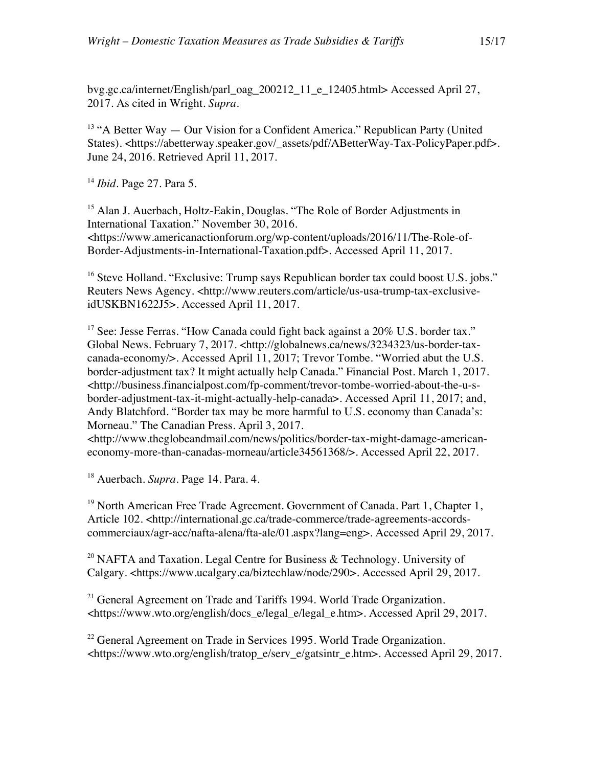bvg.gc.ca/internet/English/parl\_oag\_200212\_11\_e\_12405.html> Accessed April 27, 2017. As cited in Wright. *Supra*.

 $13$  "A Better Way  $-$  Our Vision for a Confident America." Republican Party (United States). <https://abetterway.speaker.gov/\_assets/pdf/ABetterWay-Tax-PolicyPaper.pdf>. June 24, 2016. Retrieved April 11, 2017.

<sup>14</sup> *Ibid*. Page 27. Para 5.

<sup>15</sup> Alan J. Auerbach, Holtz-Eakin, Douglas. "The Role of Border Adjustments in International Taxation." November 30, 2016. <https://www.americanactionforum.org/wp-content/uploads/2016/11/The-Role-of-Border-Adjustments-in-International-Taxation.pdf>. Accessed April 11, 2017.

<sup>16</sup> Steve Holland. "Exclusive: Trump says Republican border tax could boost U.S. jobs." Reuters News Agency. <http://www.reuters.com/article/us-usa-trump-tax-exclusiveidUSKBN1622J5>. Accessed April 11, 2017.

 $17$  See: Jesse Ferras. "How Canada could fight back against a  $20\%$  U.S. border tax." Global News. February 7, 2017. <http://globalnews.ca/news/3234323/us-border-taxcanada-economy/>. Accessed April 11, 2017; Trevor Tombe. "Worried abut the U.S. border-adjustment tax? It might actually help Canada." Financial Post. March 1, 2017. <http://business.financialpost.com/fp-comment/trevor-tombe-worried-about-the-u-sborder-adjustment-tax-it-might-actually-help-canada>. Accessed April 11, 2017; and, Andy Blatchford. "Border tax may be more harmful to U.S. economy than Canada's: Morneau." The Canadian Press. April 3, 2017.

<http://www.theglobeandmail.com/news/politics/border-tax-might-damage-americaneconomy-more-than-canadas-morneau/article34561368/>. Accessed April 22, 2017.

<sup>18</sup> Auerbach. *Supra*. Page 14. Para. 4.

<sup>19</sup> North American Free Trade Agreement. Government of Canada. Part 1, Chapter 1, Article 102. <http://international.gc.ca/trade-commerce/trade-agreements-accordscommerciaux/agr-acc/nafta-alena/fta-ale/01.aspx?lang=eng>. Accessed April 29, 2017.

<sup>20</sup> NAFTA and Taxation. Legal Centre for Business & Technology. University of Calgary. <https://www.ucalgary.ca/biztechlaw/node/290>. Accessed April 29, 2017.

<sup>21</sup> General Agreement on Trade and Tariffs 1994. World Trade Organization. <https://www.wto.org/english/docs\_e/legal\_e/legal\_e.htm>. Accessed April 29, 2017.

<sup>22</sup> General Agreement on Trade in Services 1995. World Trade Organization. <https://www.wto.org/english/tratop\_e/serv\_e/gatsintr\_e.htm>. Accessed April 29, 2017.